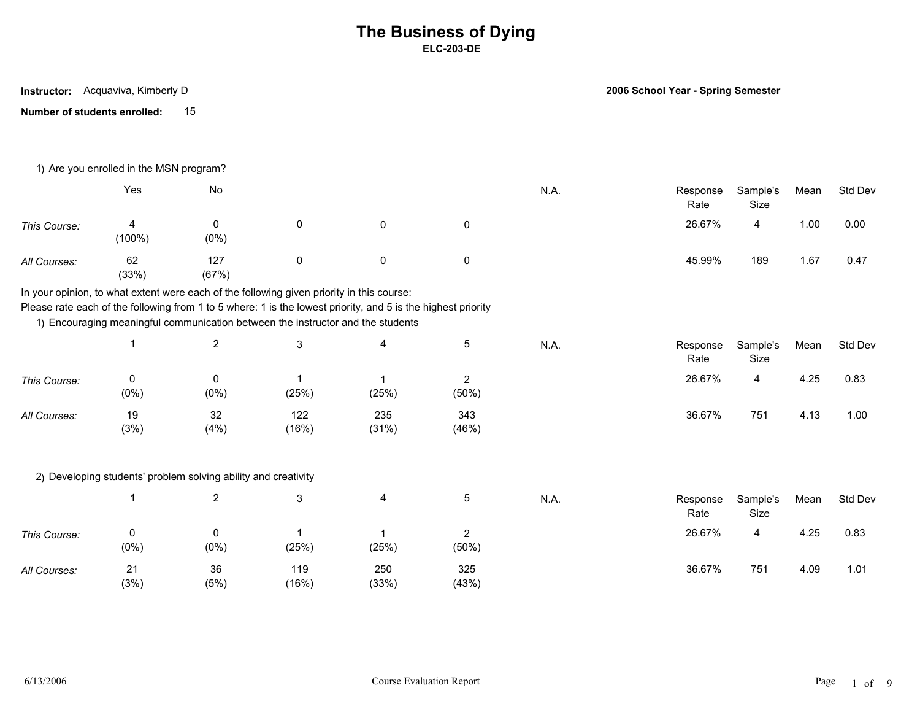**Instructor:** Acquaviva, Kimberly D

**2006 School Year - Spring Semester**

**Number of students enrolled:** 15

|              | 1) Are you enrolled in the MSN program? |                                                                |                                                                                                                                                                                                                                                                                              |                      |                         |      |                  |                  |      |         |
|--------------|-----------------------------------------|----------------------------------------------------------------|----------------------------------------------------------------------------------------------------------------------------------------------------------------------------------------------------------------------------------------------------------------------------------------------|----------------------|-------------------------|------|------------------|------------------|------|---------|
|              | Yes                                     | No                                                             |                                                                                                                                                                                                                                                                                              |                      |                         | N.A. | Response<br>Rate | Sample's<br>Size | Mean | Std Dev |
| This Course: | 4<br>(100%)                             | 0<br>$(0\%)$                                                   | 0                                                                                                                                                                                                                                                                                            | $\pmb{0}$            | 0                       |      | 26.67%           | 4                | 1.00 | 0.00    |
| All Courses: | 62<br>(33%)                             | 127<br>(67%)                                                   | 0                                                                                                                                                                                                                                                                                            | 0                    | 0                       |      | 45.99%           | 189              | 1.67 | 0.47    |
|              |                                         |                                                                | In your opinion, to what extent were each of the following given priority in this course:<br>Please rate each of the following from 1 to 5 where: 1 is the lowest priority, and 5 is the highest priority<br>1) Encouraging meaningful communication between the instructor and the students |                      |                         |      |                  |                  |      |         |
|              |                                         | $\overline{2}$                                                 | 3                                                                                                                                                                                                                                                                                            | 4                    | 5                       | N.A. | Response<br>Rate | Sample's<br>Size | Mean | Std Dev |
| This Course: | $\mathbf 0$<br>(0%)                     | 0<br>(0%)                                                      | (25%)                                                                                                                                                                                                                                                                                        | $\mathbf 1$<br>(25%) | $\overline{2}$<br>(50%) |      | 26.67%           | 4                | 4.25 | 0.83    |
| All Courses: | 19<br>(3%)                              | 32<br>(4% )                                                    | 122<br>(16%)                                                                                                                                                                                                                                                                                 | 235<br>(31%)         | 343<br>(46%)            |      | 36.67%           | 751              | 4.13 | 1.00    |
|              |                                         | 2) Developing students' problem solving ability and creativity |                                                                                                                                                                                                                                                                                              |                      |                         |      |                  |                  |      |         |
|              |                                         | $\overline{2}$                                                 | 3                                                                                                                                                                                                                                                                                            | 4                    | $\sqrt{5}$              | N.A. | Response<br>Rate | Sample's<br>Size | Mean | Std Dev |
| This Course: | 0<br>(0%)                               | $\mathbf 0$<br>(0%)                                            | (25%)                                                                                                                                                                                                                                                                                        | 1<br>(25%)           | $\overline{2}$<br>(50%) |      | 26.67%           | 4                | 4.25 | 0.83    |
| All Courses: | 21<br>(3%)                              | 36<br>(5%)                                                     | 119<br>(16%)                                                                                                                                                                                                                                                                                 | 250<br>(33%)         | 325<br>(43%)            |      | 36.67%           | 751              | 4.09 | 1.01    |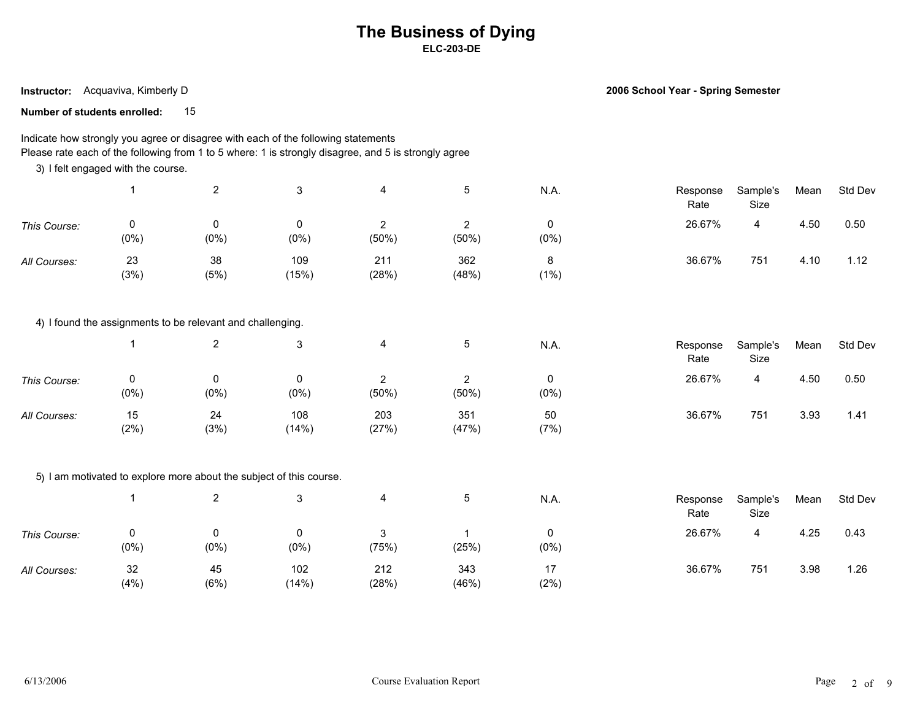**Instructor:** Acquaviva, Kimberly D

**2006 School Year - Spring Semester**

**Number of students enrolled:** 15

### Indicate how strongly you agree or disagree with each of the following statements Please rate each of the following from 1 to 5 where: 1 is strongly disagree, and 5 is strongly agree

3) I felt engaged with the course.

|              |            | ▃          |              | 4                 |              | N.A.         | Response<br>Rate | Sample's<br>Size | Mean | Std Dev |  |
|--------------|------------|------------|--------------|-------------------|--------------|--------------|------------------|------------------|------|---------|--|
| This Course: | (0%)       | $(0\%)$    | 0<br>(0%)    | <u>_</u><br>(50%) | (50%)        | 0<br>$(0\%)$ | 26.67%           | 4                | 4.50 | 0.50    |  |
| All Courses: | 23<br>(3%) | 38<br>(5%) | 109<br>(15%) | 211<br>(28%)      | 362<br>(48%) | 8<br>(1%)    | 36.67%           | 751              | 4.10 | 1.12    |  |

4) I found the assignments to be relevant and challenging.

|              |           |             |              |              |              | N.A.         | Response<br>Rate | Sample's<br>Size | Mean | Std Dev |  |
|--------------|-----------|-------------|--------------|--------------|--------------|--------------|------------------|------------------|------|---------|--|
| This Course: | (0%       | 0<br>(0%    | $(0\%)$      | ▃<br>(50%)   | $(50\%)$     | v<br>$(0\%)$ | 26.67%           | 4                | 4.50 | 0.50    |  |
| All Courses: | 15<br>(2% | 24<br>(3% ) | 108<br>(14%) | 203<br>(27%) | 351<br>(47%) | 50<br>(7%)   | 36.67%           | 751              | 3.93 | 1.41    |  |

#### 5) I am motivated to explore more about the subject of this course.

|              |            | <u>_</u>     |              |              |              | N.A.       | Response<br>Rate | Sample's<br>Size | Mean | Std Dev |
|--------------|------------|--------------|--------------|--------------|--------------|------------|------------------|------------------|------|---------|
| This Course: | $(0\%)$    | U<br>$(0\%)$ | (0%)         | (75%)        | (25%)        | $(0\%)$    | 26.67%           | 4                | 4.25 | 0.43    |
| All Courses: | 32<br>(4%) | 45<br>(6%)   | 102<br>(14%) | 212<br>(28%) | 343<br>(46%) | 47<br>(2%) | 36.67%           | 751              | 3.98 | . 26    |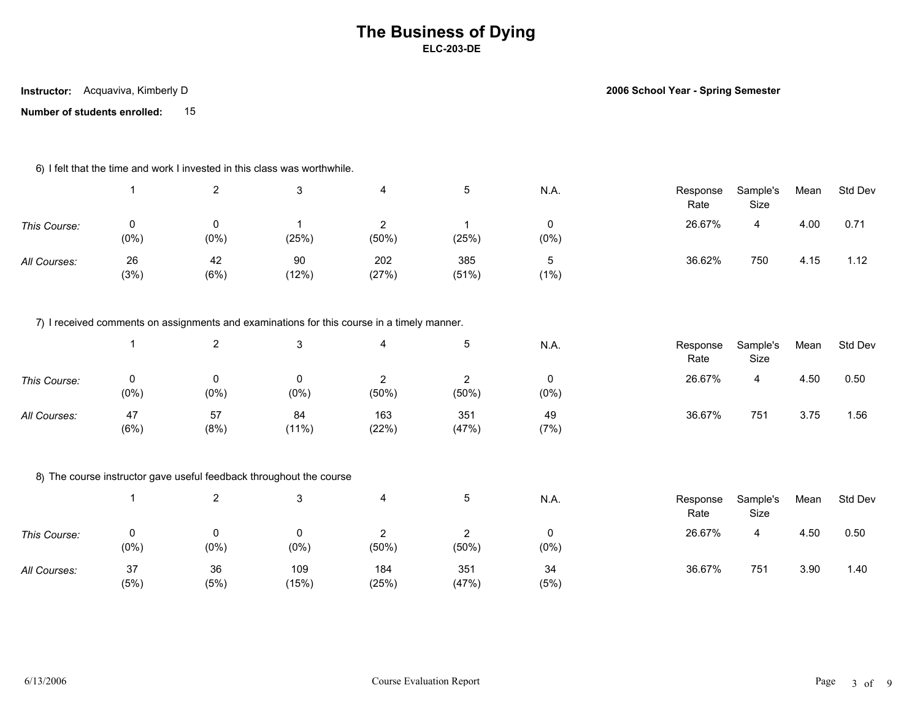**Instructor:** Acquaviva, Kimberly D

**2006 School Year - Spring Semester**

**Number of students enrolled:** 15

| 6) I felt that the time and work I invested in this class was worthwhile. |  |
|---------------------------------------------------------------------------|--|
|---------------------------------------------------------------------------|--|

|              |            | ົ            |             |              |              | N.A.    | Response<br>Rate | Sample's<br>Size | Mean | Std Dev |  |
|--------------|------------|--------------|-------------|--------------|--------------|---------|------------------|------------------|------|---------|--|
| This Course: | (0%)       | 0<br>$(0\%)$ | (25%)       | $(50\%)$     | (25%)        | $(0\%)$ | 26.67%           | ᅭ                | 4.00 | 0.71    |  |
| All Courses: | 26<br>(3%) | 42<br>(6%)   | 90<br>(12%) | 202<br>(27%) | 385<br>(51%) | (1%     | 36.62%           | 750              | 4.15 | 1.12    |  |

7) I received comments on assignments and examinations for this course in a timely manner.

|              |           |             |             |                         |              | N.A.         | Response<br>Rate | Sample's<br>Size | Mean | Std Dev |  |
|--------------|-----------|-------------|-------------|-------------------------|--------------|--------------|------------------|------------------|------|---------|--|
| This Course: | (0%       | 0<br>(0%    | (0%)        | $\sim$<br>▃<br>$(50\%)$ | (50%)        | υ<br>$(0\%)$ | 26.67%           | 4                | 4.50 | 0.50    |  |
| All Courses: | 47<br>(6% | 57<br>(8% ) | 84<br>(11%) | 163<br>(22%)            | 351<br>(47%) | 49<br>(7%)   | 36.67%           | 751              | 3.75 | 1.56    |  |

### 8) The course instructor gave useful feedback throughout the course

|              |           |            |              |                   |              | N.A.         | Response<br>Rate | Sample's<br>Size | Mean | Std Dev |
|--------------|-----------|------------|--------------|-------------------|--------------|--------------|------------------|------------------|------|---------|
| This Course: | 0<br>(0%  | $(0\%)$    | $(0\%)$      | <u>_</u><br>(50%) | (50%         | 0<br>$(0\%)$ | 26.67%           | 4                | 4.50 | 0.50    |
| All Courses: | 37<br>(5% | 36<br>(5%) | 109<br>(15%) | 184<br>(25%)      | 351<br>(47%) | 34<br>(5%)   | 36.67%           | 751              | 3.90 | 1.40    |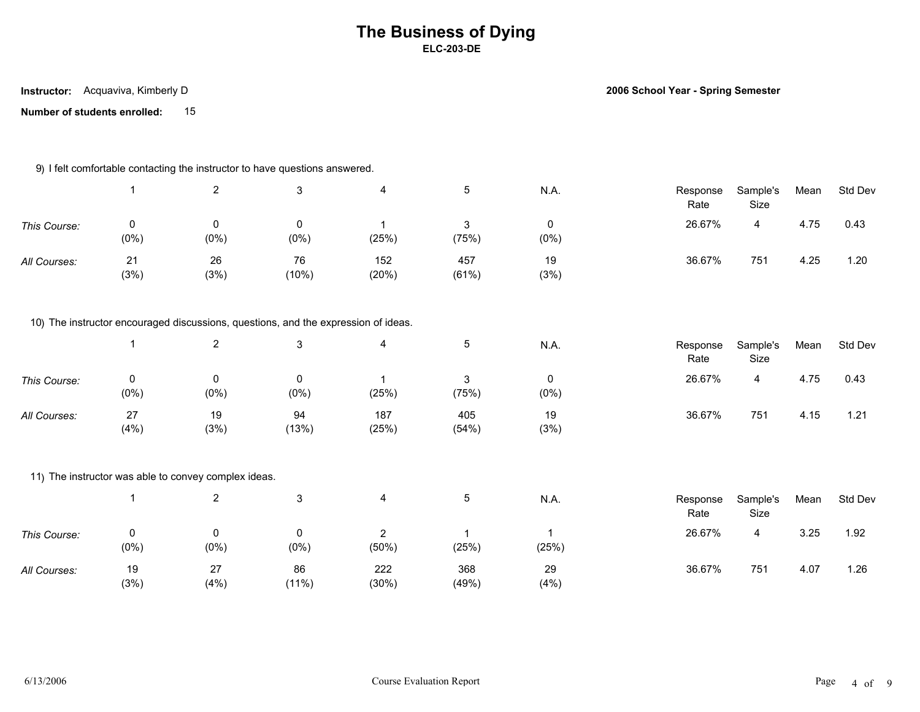**Instructor:** Acquaviva, Kimberly D

**2006 School Year - Spring Semester**

**Number of students enrolled:** 15

### 9) I felt comfortable contacting the instructor to have questions answered.

|              |              |            |             |              |              | N.A.       | Response<br>Rate | Sample's<br>Size | Mean | Std Dev |
|--------------|--------------|------------|-------------|--------------|--------------|------------|------------------|------------------|------|---------|
| This Course: | 0<br>$(0\%)$ | (0%        | 0<br>(0%)   | (25%)        | (75%)        | $(0\%)$    | 26.67%           |                  | 4.75 | 0.43    |
| All Courses: | 21<br>(3%)   | 26<br>(3%) | 76<br>(10%) | 152<br>(20%) | 457<br>(61%) | 19<br>(3%) | 36.67%           | 751              | 4.25 | 1.20    |

### 10) The instructor encouraged discussions, questions, and the expression of ideas.

|              |              |            |             |              |              | N.A.         | Response<br>Rate | Sample's<br>Size | Mean | Std Dev |  |
|--------------|--------------|------------|-------------|--------------|--------------|--------------|------------------|------------------|------|---------|--|
| This Course: | 0<br>$(0\%)$ | $(0\%)$    | $(0\%)$     | (25%)        | (75%)        | 0<br>$(0\%)$ | 26.67%           | 4                | 4.75 | 0.43    |  |
| All Courses: | 27<br>(4% )  | 19<br>(3%) | 94<br>(13%) | 187<br>(25%) | 405<br>(54%) | 19<br>(3%)   | 36.67%           | 751              | 4.15 | 1.21    |  |

### 11) The instructor was able to convey complex ideas.

|              |           |            |                |              |              | N.A.        | Response<br>Rate | Sample's<br>Size | Mean | Std Dev   |
|--------------|-----------|------------|----------------|--------------|--------------|-------------|------------------|------------------|------|-----------|
| This Course: | 0<br>(0%  | (0%)       | $(0\%)$        | _<br>(50%)   | (25%)        | (25%)       | 26.67%           | 4                | 3.25 | 1.92      |
| All Courses: | 19<br>(3% | 27<br>(4%) | 86<br>$(11\%)$ | 222<br>(30%) | 368<br>(49%) | 29<br>(4% ) | 36.67%           | 751              | 4.07 | <b>26</b> |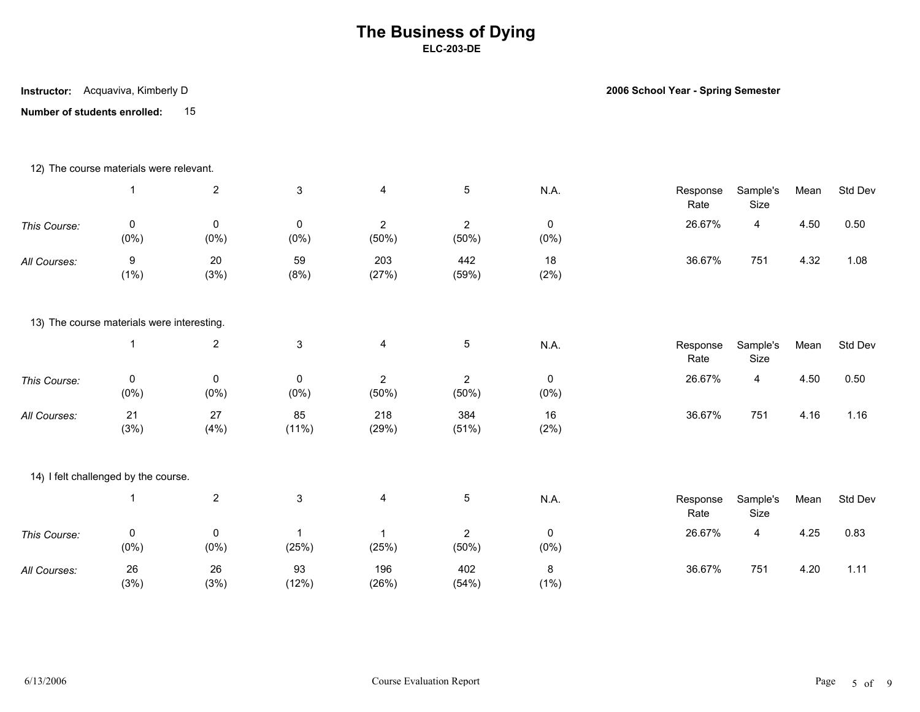**Number of students enrolled:** 15 **Instructor:** Acquaviva, Kimberly D

**2006 School Year - Spring Semester**

|              | 12) The course materials were relevant.    |                      |                        |                         |                         |                        |                  |                  |      |         |
|--------------|--------------------------------------------|----------------------|------------------------|-------------------------|-------------------------|------------------------|------------------|------------------|------|---------|
|              | $\mathbf{1}$                               | $\overline{2}$       | $\mathfrak{S}$         | $\overline{4}$          | $\overline{5}$          | N.A.                   | Response<br>Rate | Sample's<br>Size | Mean | Std Dev |
| This Course: | $\pmb{0}$<br>$(0\%)$                       | $\pmb{0}$<br>$(0\%)$ | $\mathbf 0$<br>$(0\%)$ | $\overline{2}$<br>(50%) | $\overline{2}$<br>(50%) | $\mathbf 0$<br>$(0\%)$ | 26.67%           | $\overline{4}$   | 4.50 | 0.50    |
| All Courses: | $\boldsymbol{9}$<br>$(1\%)$                | 20<br>(3%)           | 59<br>(8%)             | 203<br>(27%)            | 442<br>(59%)            | 18<br>(2%)             | 36.67%           | 751              | 4.32 | 1.08    |
|              | 13) The course materials were interesting. |                      |                        |                         |                         |                        |                  |                  |      |         |
|              | $\overline{1}$                             | $\overline{2}$       | $\mathbf{3}$           | $\overline{\mathbf{4}}$ | $5\phantom{.0}$         | N.A.                   | Response<br>Rate | Sample's<br>Size | Mean | Std Dev |
| This Course: | $\pmb{0}$<br>$(0\%)$                       | 0<br>$(0\%)$         | 0<br>$(0\%)$           | $\overline{2}$<br>(50%) | $\overline{2}$<br>(50%) | 0<br>$(0\%)$           | 26.67%           | 4                | 4.50 | 0.50    |
| All Courses: | 21<br>(3%)                                 | 27<br>(4% )          | 85<br>(11%)            | 218<br>(29%)            | 384<br>(51%)            | 16<br>(2%)             | 36.67%           | 751              | 4.16 | 1.16    |
|              | 14) I felt challenged by the course.       |                      |                        |                         |                         |                        |                  |                  |      |         |
|              | $\mathbf{1}$                               | $\overline{2}$       | $\mathbf{3}$           | $\overline{\mathbf{4}}$ | $\sqrt{5}$              | N.A.                   | Response<br>Rate | Sample's<br>Size | Mean | Std Dev |
| This Course: | $\pmb{0}$<br>$(0\%)$                       | 0<br>$(0\%)$         | -1<br>(25%)            | -1<br>(25%)             | $\overline{2}$<br>(50%) | 0<br>$(0\%)$           | 26.67%           | 4                | 4.25 | 0.83    |
| All Courses: | 26<br>(3%)                                 | 26<br>(3%)           | 93<br>(12%)            | 196<br>(26%)            | 402<br>(54%)            | 8<br>$(1\%)$           | 36.67%           | 751              | 4.20 | 1.11    |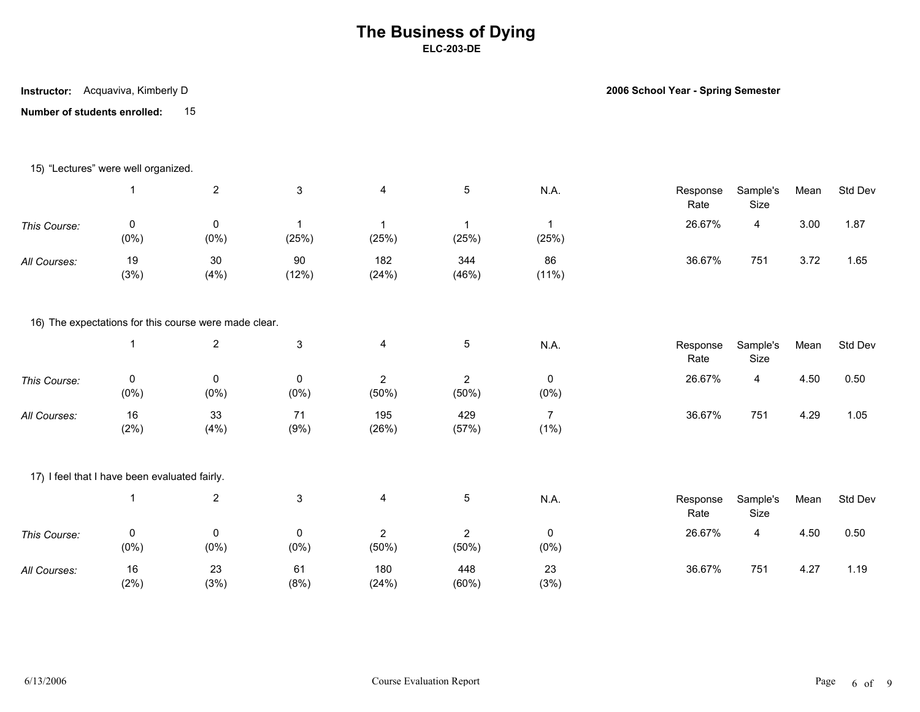**Number of students enrolled:** 15 **Instructor:** Acquaviva, Kimberly D

**2006 School Year - Spring Semester**

|              | 15) "Lectures" were well organized.           |                                                       |                      |                         |                         |                                  |                  |                  |      |         |
|--------------|-----------------------------------------------|-------------------------------------------------------|----------------------|-------------------------|-------------------------|----------------------------------|------------------|------------------|------|---------|
|              | $\overline{1}$                                | $\overline{2}$                                        | $\mathbf{3}$         | $\overline{\mathbf{4}}$ | $5\phantom{.0}$         | N.A.                             | Response<br>Rate | Sample's<br>Size | Mean | Std Dev |
| This Course: | 0<br>$(0\%)$                                  | $\pmb{0}$<br>$(0\%)$                                  | $\mathbf 1$<br>(25%) | $\mathbf{1}$<br>(25%)   | $\mathbf{1}$<br>(25%)   | $\overline{\mathbf{1}}$<br>(25%) | 26.67%           | $\overline{4}$   | 3.00 | 1.87    |
| All Courses: | 19<br>(3%)                                    | 30<br>(4%)                                            | 90<br>(12%)          | 182<br>(24%)            | 344<br>(46%)            | 86<br>(11%)                      | 36.67%           | 751              | 3.72 | 1.65    |
|              |                                               | 16) The expectations for this course were made clear. |                      |                         |                         |                                  |                  |                  |      |         |
|              | $\overline{1}$                                | $\overline{2}$                                        | $\mathsf 3$          | $\overline{\mathbf{4}}$ | 5                       | N.A.                             | Response<br>Rate | Sample's<br>Size | Mean | Std Dev |
| This Course: | 0<br>$(0\%)$                                  | $\pmb{0}$<br>(0% )                                    | 0<br>$(0\%)$         | $\overline{2}$<br>(50%) | $\overline{2}$<br>(50%) | 0<br>$(0\%)$                     | 26.67%           | $\overline{4}$   | 4.50 | 0.50    |
| All Courses: | 16<br>(2%)                                    | 33<br>(4%)                                            | 71<br>(9%)           | 195<br>(26%)            | 429<br>(57%)            | $\overline{7}$<br>$(1\%)$        | 36.67%           | 751              | 4.29 | 1.05    |
|              | 17) I feel that I have been evaluated fairly. |                                                       |                      |                         |                         |                                  |                  |                  |      |         |
|              | $\overline{\mathbf{1}}$                       | $\overline{c}$                                        | 3                    | 4                       | 5                       | <b>N.A.</b>                      | Response<br>Rate | Sample's<br>Size | Mean | Std Dev |
| This Course: | 0<br>$(0\%)$                                  | 0<br>(0%)                                             | 0<br>$(0\%)$         | $\overline{2}$<br>(50%) | $\overline{2}$<br>(50%) | 0<br>$(0\%)$                     | 26.67%           | $\overline{4}$   | 4.50 | 0.50    |
| All Courses: | 16<br>(2%)                                    | 23<br>(3%)                                            | 61<br>(8%)           | 180<br>(24%)            | 448<br>(60%)            | 23<br>(3%)                       | 36.67%           | 751              | 4.27 | 1.19    |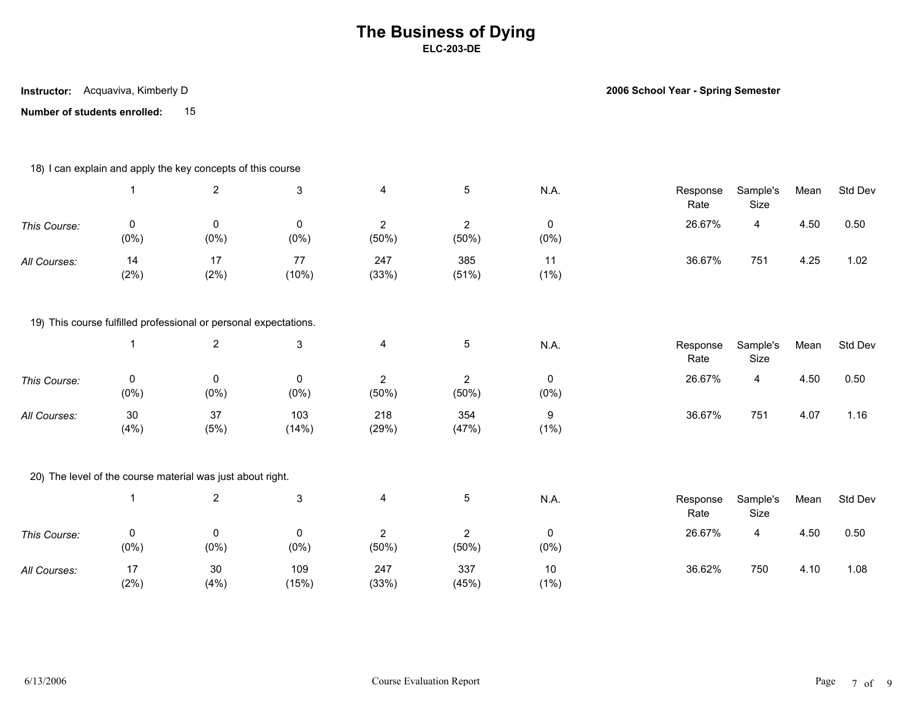**Number of students enrolled:** 15 **Instructor:** Acquaviva, Kimberly D

**2006 School Year - Spring Semester**

|              |                        | 18) I can explain and apply the key concepts of this course      |                           |                         |                         |                        |                  |                  |      |         |
|--------------|------------------------|------------------------------------------------------------------|---------------------------|-------------------------|-------------------------|------------------------|------------------|------------------|------|---------|
|              | $\mathbf{1}$           | $\overline{2}$                                                   | $\mathbf{3}$              | 4                       | 5                       | N.A.                   | Response<br>Rate | Sample's<br>Size | Mean | Std Dev |
| This Course: | 0<br>$(0\%)$           | $\mathbf 0$<br>$(0\%)$                                           | 0<br>$(0\%)$              | $\overline{c}$<br>(50%) | $\overline{2}$<br>(50%) | $\pmb{0}$<br>$(0\%)$   | 26.67%           | 4                | 4.50 | 0.50    |
| All Courses: | 14<br>(2%)             | 17<br>(2%)                                                       | 77<br>(10%)               | 247<br>(33%)            | 385<br>(51%)            | 11<br>$(1\%)$          | 36.67%           | 751              | 4.25 | 1.02    |
|              |                        | 19) This course fulfilled professional or personal expectations. |                           |                         |                         |                        |                  |                  |      |         |
|              | $\mathbf 1$            | $\overline{2}$                                                   | $\ensuremath{\mathsf{3}}$ | 4                       | 5                       | N.A.                   | Response<br>Rate | Sample's<br>Size | Mean | Std Dev |
| This Course: | $\mathbf 0$<br>$(0\%)$ | 0<br>$(0\%)$                                                     | $\mathbf 0$<br>$(0\%)$    | $\overline{2}$<br>(50%) | $\overline{2}$<br>(50%) | $\mathbf 0$<br>$(0\%)$ | 26.67%           | 4                | 4.50 | 0.50    |
| All Courses: | $30\,$<br>(4% )        | 37<br>(5%)                                                       | 103<br>(14%)              | 218<br>(29%)            | 354<br>(47%)            | 9<br>$(1\%)$           | 36.67%           | 751              | 4.07 | 1.16    |
|              |                        | 20) The level of the course material was just about right.       |                           |                         |                         |                        |                  |                  |      |         |
|              |                        | $\overline{2}$                                                   | $\ensuremath{\mathsf{3}}$ | 4                       | 5                       | N.A.                   | Response<br>Rate | Sample's<br>Size | Mean | Std Dev |
| This Course: | $\pmb{0}$<br>$(0\%)$   | 0<br>$(0\%)$                                                     | 0<br>$(0\%)$              | $\overline{2}$<br>(50%) | $\overline{2}$<br>(50%) | 0<br>$(0\%)$           | 26.67%           | 4                | 4.50 | 0.50    |
| All Courses: | 17<br>(2%)             | $30\,$<br>(4% )                                                  | 109<br>(15%)              | 247<br>(33%)            | 337<br>(45%)            | 10<br>$(1\%)$          | 36.62%           | 750              | 4.10 | 1.08    |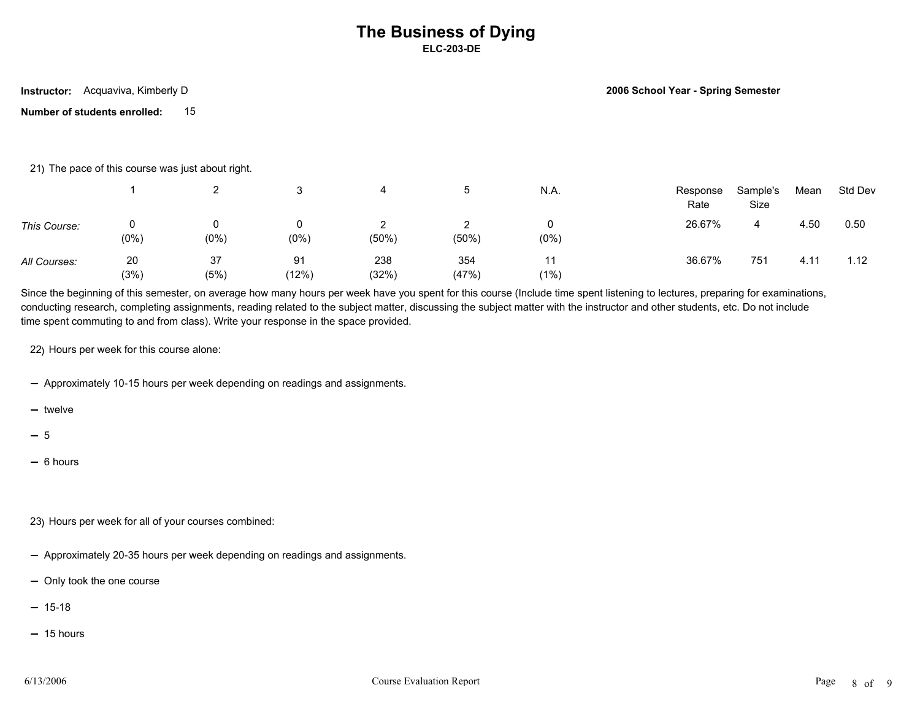**Instructor:** Acquaviva, Kimberly D

**2006 School Year - Spring Semester**

**Number of students enrolled:** 15

21) The pace of this course was just about right.

|              |            |            |             |               |              | N.A.       | Response<br>Rate | Sample's<br>Size | Mean          | Std Dev |  |
|--------------|------------|------------|-------------|---------------|--------------|------------|------------------|------------------|---------------|---------|--|
| This Course: | 0<br>(0%)  | (0%        | 0<br>(0% )  | _<br>$(50\%)$ | $(50\%)$     | $(0\%)$    | 26.67%           | 4                | 4.50          | 0.50    |  |
| All Courses: | 20<br>(3%) | 37<br>(5%) | 91<br>(12%) | 238<br>(32%)  | 354<br>(47%) | 11<br>(1%) | 36.67%           | 751              | $4.1^{\circ}$ | 1.12    |  |

Since the beginning of this semester, on average how many hours per week have you spent for this course (Include time spent listening to lectures, preparing for examinations, conducting research, completing assignments, reading related to the subject matter, discussing the subject matter with the instructor and other students, etc. Do not include time spent commuting to and from class). Write your response in the space provided.

22) Hours per week for this course alone:

- Approximately 10-15 hours per week depending on readings and assignments.

 $-$  twelve

5

- $-6$  hours
- 23) Hours per week for all of your courses combined:
- Approximately 20-35 hours per week depending on readings and assignments.
- Only took the one course
- $-15-18$
- $-15$  hours